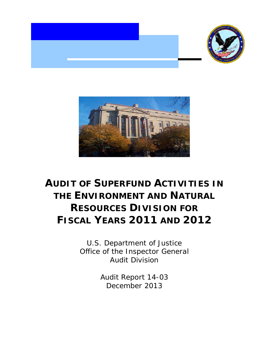

![](_page_0_Picture_1.jpeg)

# **FISCAL YEARS 2011 AND 2012 AUDIT OF SUPERFUND ACTIVITIES IN THE ENVIRONMENT AND NATURAL RESOURCES DIVISION FOR**

 Office of the Inspector General U.S. Department of Justice Audit Division

> Audit Report 14-03 December 2013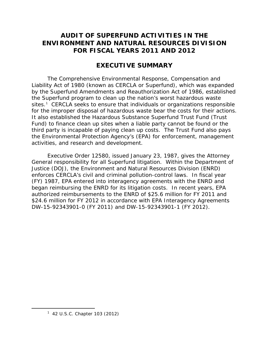## **AUDIT OF SUPERFUND ACTIVITIES IN THE FOR FISCAL YEARS 2011 AND 2012 ENVIRONMENT AND NATURAL RESOURCES DIVISION**

## **EXECUTIVE SUMMARY**

sites.<sup>1</sup> CERCLA seeks to ensure that individuals or organizations responsible for the improper disposal of hazardous waste bear the costs for their actions. The Comprehensive Environmental Response, Compensation and Liability Act of 1980 (known as CERCLA or Superfund), which was expanded by the Superfund Amendments and Reauthorization Act of 1986, established the Superfund program to clean up the nation's worst hazardous waste It also established the Hazardous Substance Superfund Trust Fund (Trust Fund) to finance clean up sites when a liable party cannot be found or the third party is incapable of paying clean up costs. The Trust Fund also pays the Environmental Protection Agency's (EPA) for enforcement, management activities, and research and development.

 Executive Order 12580, issued January 23, 1987, gives the Attorney enforces CERCLA's civil and criminal pollution-control laws. In fiscal year authorized reimbursements to the ENRD of \$25.6 million for FY 2011 and \$24.6 million for FY 2012 in accordance with EPA Interagency Agreements DW-15-92343901-0 (FY 2011) and DW-15-92343901-1 (FY 2012). General responsibility for all Superfund litigation. Within the Department of Justice (DOJ), the Environment and Natural Resources Division (ENRD) (FY) 1987, EPA entered into interagency agreements with the ENRD and began reimbursing the ENRD for its litigation costs. In recent years, EPA

<span id="page-1-0"></span> $\overline{a}$ 

<sup>&</sup>lt;sup>1</sup> 42 U.S.C. Chapter 103 (2012)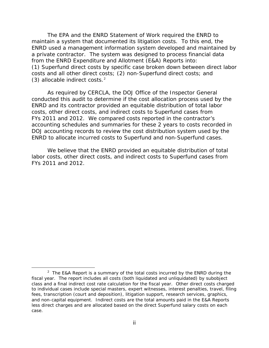maintain a system that documented its litigation costs. To this end, the The EPA and the ENRD Statement of Work required the ENRD to ENRD used a management information system developed and maintained by a private contractor. The system was designed to process financial data from the ENRD Expenditure and Allotment (E&A) Reports into: (1) Superfund direct costs by specific case broken down between direct labor costs and all other direct costs; (2) non-Superfund direct costs; and (3) allocable indirect costs.<sup>[2](#page-2-0)</sup>

 conducted this audit to determine if the cost allocation process used by the FYs 2011 and 2012. We compared costs reported in the contractor's As required by CERCLA, the DOJ Office of the Inspector General ENRD and its contractor provided an equitable distribution of total labor costs, other direct costs, and indirect costs to Superfund cases from accounting schedules and summaries for these 2 years to costs recorded in DOJ accounting records to review the cost distribution system used by the ENRD to allocate incurred costs to Superfund and non-Superfund cases.

 FYs 2011 and 2012. We believe that the ENRD provided an equitable distribution of total labor costs, other direct costs, and indirect costs to Superfund cases from

 $\overline{a}$ 

<span id="page-2-0"></span><sup>&</sup>lt;sup>2</sup> The E&A Report is a summary of the total costs incurred by the ENRD during the fiscal year. The report includes all costs (both liquidated and unliquidated) by subobject class and a final indirect cost rate calculation for the fiscal year. Other direct costs charged to individual cases include special masters, expert witnesses, interest penalties, travel, filing fees, transcription (court and deposition), litigation support, research services, graphics, and non-capital equipment. Indirect costs are the total amounts paid in the E&A Reports less direct charges and are allocated based on the direct Superfund salary costs on each case.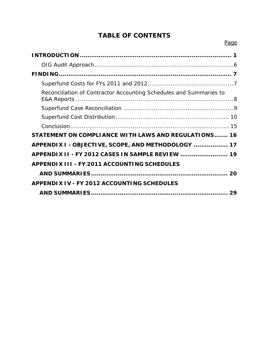## **TABLE OF CONTENTS**

| Reconciliation of Contractor Accounting Schedules and Summaries to |
|--------------------------------------------------------------------|
|                                                                    |
|                                                                    |
|                                                                    |
| STATEMENT ON COMPLIANCE WITH LAWS AND REGULATIONS 16               |
| APPENDIX I - OBJECTIVE, SCOPE, AND METHODOLOGY  17                 |
| APPENDIX II - FY 2012 CASES IN SAMPLE REVIEW  19                   |
| <b>APPENDIX III - FY 2011 ACCOUNTING SCHEDULES</b>                 |
|                                                                    |
| <b>APPENDIX IV - FY 2012 ACCOUNTING SCHEDULES</b>                  |
| 29                                                                 |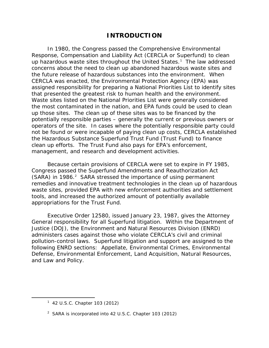## **INTRODUCTION**

<span id="page-4-0"></span>up hazardous waste sites throughout the United States.<sup>[1](#page-4-1)</sup> The law addressed that presented the greatest risk to human health and the environment. In 1980, the Congress passed the Comprehensive Environmental Response, Compensation and Liability Act (CERCLA or Superfund) to clean concerns about the need to clean up abandoned hazardous waste sites and the future release of hazardous substances into the environment. When CERCLA was enacted, the Environmental Protection Agency (EPA) was assigned responsibility for preparing a National Priorities List to identify sites Waste sites listed on the National Priorities List were generally considered the most contaminated in the nation, and EPA funds could be used to clean up those sites. The clean up of these sites was to be financed by the potentially responsible parties – generally the current or previous owners or operators of the site. In cases where the potentially responsible party could not be found or were incapable of paying clean up costs, CERCLA established the Hazardous Substance Superfund Trust Fund (Trust Fund) to finance clean up efforts. The Trust Fund also pays for EPA's enforcement, management, and research and development activities.

(SARA) in 1986.<sup>2</sup> SARA stressed the importance of using permanent Because certain provisions of CERCLA were set to expire in FY 1985, Congress passed the Superfund Amendments and Reauthorization Act remedies and innovative treatment technologies in the clean up of hazardous waste sites, provided EPA with new enforcement authorities and settlement tools, and increased the authorized amount of potentially available appropriations for the Trust Fund.

 Executive Order 12580, issued January 23, 1987, gives the Attorney pollution-control laws. Superfund litigation and support are assigned to the General responsibility for all Superfund litigation. Within the Department of Justice (DOJ), the Environment and Natural Resources Division (ENRD) administers cases against those who violate CERCLA's civil and criminal following ENRD sections: Appellate, Environmental Crimes, Environmental Defense, Environmental Enforcement, Land Acquisition, Natural Resources, and Law and Policy.

<span id="page-4-2"></span><span id="page-4-1"></span>Ì,

<sup>&</sup>lt;sup>1</sup> 42 U.S.C. Chapter 103 (2012)

 $2$  SARA is incorporated into 42 U.S.C. Chapter 103 (2012)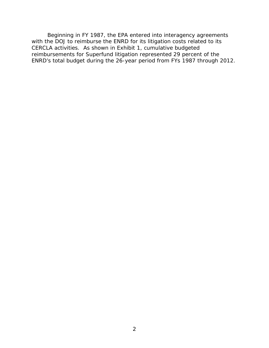with the DOJ to reimburse the ENRD for its litigation costs related to its reimbursements for Superfund litigation represented 29 percent of the Beginning in FY 1987, the EPA entered into interagency agreements CERCLA activities. As shown in Exhibit 1, cumulative budgeted ENRD's total budget during the 26-year period from FYs 1987 through 2012.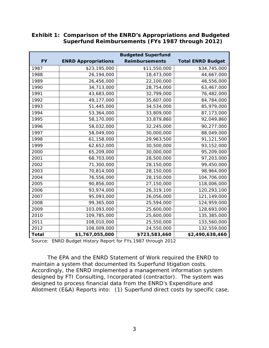|              | <b>Budgeted Superfund</b>  |                       |                          |  |
|--------------|----------------------------|-----------------------|--------------------------|--|
| <b>FY</b>    | <b>ENRD Appropriations</b> | <b>Reimbursements</b> | <b>Total ENRD Budget</b> |  |
| 1987         | \$23,195,000               | \$11,550,000          | \$34,745,000             |  |
| 1988         | 26,194,000                 | 18,473,000            | 44,667,000               |  |
| 1989         | 26,456,000                 | 22,100,000            | 48,556,000               |  |
| 1990         | 34,713,000                 | 28,754,000            | 63,467,000               |  |
| 1991         | 43,683,000                 | 32,799,000            | 76,482,000               |  |
| 1992         | 49,177,000                 | 35,607,000            | 84,784,000               |  |
| 1993         | 51,445,000                 | 34,534,000            | 85,979,000               |  |
| 1994         | 53,364,000                 | 33,809,000            | 87,173,000               |  |
| 1995         | 58,170,000                 | 33,879,860            | 92,049,860               |  |
| 1996         | 58,032,000                 | 32,245,000            | 90,277,000               |  |
| 1997         | 58,049,000                 | 30,000,000            | 88,049,000               |  |
| 1998         | 61,158,000                 | 29,963,500            | 91,121,500               |  |
| 1999         | 62,652,000                 | 30,500,000            | 93,152,000               |  |
| 2000         | 65,209,000                 | 30,000,000            | 95,209,000               |  |
| 2001         | 68,703,000                 | 28,500,000            | 97,203,000               |  |
| 2002         | 71,300,000                 | 28,150,000            | 99,450,000               |  |
| 2003         | 70,814,000                 | 28,150,000            | 98,964,000               |  |
| 2004         | 76,556,000                 | 28,150,000            | 104,706,000              |  |
| 2005         | 90,856,000                 | 27,150,000            | 118,006,000              |  |
| 2006         | 93,974,000                 | 26,319,100            | 120,293,100              |  |
| 2007         | 95,093,000                 | 26,056,000            | 121,149,000              |  |
| 2008         | 99,365,000                 | 25,594,000            | 124,959,000              |  |
| 2009         | 103,093,000                | 25,600,000            | 128,693,000              |  |
| 2010         | 109,785,000                | 25,600,000            | 135,385,000              |  |
| 2011         | 108,010,000                | 25,550,000            | 133,560,000              |  |
| 2012         | 108,009,000                | 24,550,000            | 132,559,000              |  |
| <b>Total</b> | \$1,767,055,000            | \$723,583,460         | \$2,490,638,460          |  |

### **Exhibit 1: Comparison of the ENRD's Appropriations and Budgeted Superfund Reimbursements (FYs 1987 through 2012)**

Source: ENRD Budget History Report for FYs 1987 through 2012

The EPA and the ENRD Statement of Work required the ENRD to maintain a system that documented its Superfund litigation costs. Accordingly, the ENRD implemented a management information system designed by FTI Consulting, Incorporated (contractor). The system was designed to process financial data from the ENRD's Expenditure and Allotment (E&A) Reports into: (1) Superfund direct costs by specific case,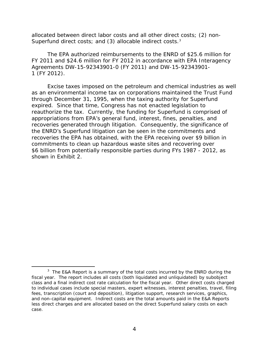allocated between direct labor costs and all other direct costs; (2) non-Superfund direct costs; and ([3](#page-7-0)) allocable indirect costs.<sup>3</sup>

 FY 2011 and \$24.6 million for FY 2012 in accordance with EPA Interagency Agreements DW-15-92343901-0 (FY 2011) and DW-15-92343901 1 (FY 2012). The EPA authorized reimbursements to the ENRD of \$25.6 million for

 through December 31, 1995, when the taxing authority for Superfund reauthorize the tax. Currently, the funding for Superfund is comprised of recoveries generated through litigation. Consequently, the significance of \$6 billion from potentially responsible parties during FYs 1987 - 2012, as shown in Exhibit 2. Excise taxes imposed on the petroleum and chemical industries as well as an environmental income tax on corporations maintained the Trust Fund expired. Since that time, Congress has not enacted legislation to appropriations from EPA's general fund, interest, fines, penalties, and the ENRD's Superfund litigation can be seen in the commitments and recoveries the EPA has obtained, with the EPA receiving over \$9 billion in commitments to clean up hazardous waste sites and recovering over

 $\overline{a}$ 

<span id="page-7-0"></span> $3$  The E&A Report is a summary of the total costs incurred by the ENRD during the fiscal year. The report includes all costs (both liquidated and unliquidated) by subobject class and a final indirect cost rate calculation for the fiscal year. Other direct costs charged to individual cases include special masters, expert witnesses, interest penalties, travel, filing fees, transcription (court and deposition), litigation support, research services, graphics, and non-capital equipment. Indirect costs are the total amounts paid in the E&A Reports less direct charges and are allocated based on the direct Superfund salary costs on each case.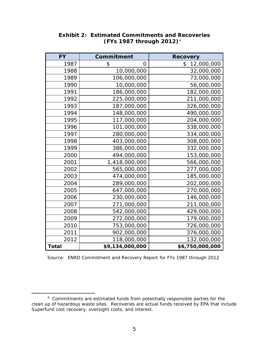| <b>FY</b>    | Commitment      | <b>Recovery</b>  |
|--------------|-----------------|------------------|
| 1987         | \$<br>O         | \$<br>12,000,000 |
| 1988         | 10,000,000      | 32,000,000       |
| 1989         | 106,000,000     | 73,000,000       |
| 1990         | 10,000,000      | 56,000,000       |
| 1991         | 186,000,000     | 182,000,000      |
| 1992         | 225,000,000     | 211,000,000      |
| 1993         | 187,000,000     | 326,000,000      |
| 1994         | 148,000,000     | 490,000,000      |
| 1995         | 117,000,000     | 204,000,000      |
| 1996         | 101,000,000     | 338,000,000      |
| 1997         | 280,000,000     | 334,000,000      |
| 1998         | 403,000,000     | 308,000,000      |
| 1999         | 386,000,000     | 332,000,000      |
| 2000         | 494,000,000     | 153,000,000      |
| 2001         | 1,418,000,000   | 566,000,000      |
| 2002         | 565,000,000     | 277,000,000      |
| 2003         | 474,000,000     | 185,000,000      |
| 2004         | 289,000,000     | 202,000,000      |
| 2005         | 647,000,000     | 270,000,000      |
| 2006         | 230,000,000     | 146,000,000      |
| 2007         | 271,000,000     | 211,000,000      |
| 2008         | 542,000,000     | 429,000,000      |
| 2009         | 272,000,000     | 179,000,000      |
| 2010         | 753,000,000     | 726,000,000      |
| 2011         | 902,000,000     | 376,000,000      |
| 2012         | 118,000,000     | 132,000,000      |
| <b>Total</b> | \$9,134,000,000 | \$6,750,000,000  |

## **Exhibit 2: Estimated Commitments and Recoveries (FYs 1987 through 2012)**[4](#page-8-0)

Source: ENRD Commitment and Recovery Report for FYs 1987 through 2012

 $\overline{a}$ 

<span id="page-8-0"></span> $4$  Commitments are estimated funds from potentially responsible parties for the clean up of hazardous waste sites. Recoveries are actual funds received by EPA that include Superfund cost recovery, oversight costs, and interest.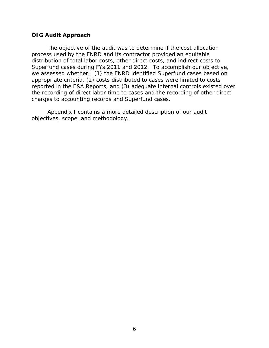### <span id="page-9-0"></span>**OIG Audit Approach**

 Superfund cases during FYs 2011 and 2012. To accomplish our objective, The objective of the audit was to determine if the cost allocation process used by the ENRD and its contractor provided an equitable distribution of total labor costs, other direct costs, and indirect costs to we assessed whether: (1) the ENRD identified Superfund cases based on appropriate criteria, (2) costs distributed to cases were limited to costs reported in the E&A Reports, and (3) adequate internal controls existed over the recording of direct labor time to cases and the recording of other direct charges to accounting records and Superfund cases.

Appendix I contains a more detailed description of our audit objectives, scope, and methodology.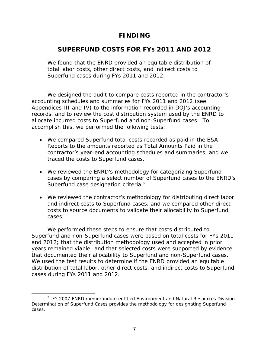## **FINDING**

## <span id="page-10-0"></span> **SUPERFUND COSTS FOR FYS 2011 AND 2012**

 total labor costs, other direct costs, and indirect costs to Superfund cases during FYs 2011 and 2012. We found that the ENRD provided an equitable distribution of

 accounting schedules and summaries for FYs 2011 and 2012 (see Appendices III and IV) to the information recorded in DOJ's accounting We designed the audit to compare costs reported in the contractor's records, and to review the cost distribution system used by the ENRD to allocate incurred costs to Superfund and non-Superfund cases. To accomplish this, we performed the following tests:

- traced the costs to Superfund cases. • We compared Superfund total costs recorded as paid in the E&A Reports to the amounts reported as Total Amounts Paid in the contractor's year-end accounting schedules and summaries, and we
- Superfund case designation criteria.<sup>5</sup> • We reviewed the ENRD's methodology for categorizing Superfund cases by comparing a select number of Superfund cases to the ENRD's
- We reviewed the contractor's methodology for distributing direct labor and indirect costs to Superfund cases, and we compared other direct costs to source documents to validate their allocability to Superfund cases.

 We performed these steps to ensure that costs distributed to Superfund and non-Superfund cases were based on total costs for FYs 2011 that documented their allocability to Superfund and non-Superfund cases. that documented their allocability to Superfund and non-Superfund cases.<br>We used the test results to determine if the ENRD provided an equitable cases during FYs 2011 and 2012. and 2012; that the distribution methodology used and accepted in prior years remained viable; and that selected costs were supported by evidence distribution of total labor, other direct costs, and indirect costs to Superfund

 $\overline{a}$ 

<span id="page-10-1"></span> 5 FY 2007 ENRD memorandum entitled *Environment and Natural Resources Division Determination of Superfund Cases* provides the methodology for designating Superfund cases.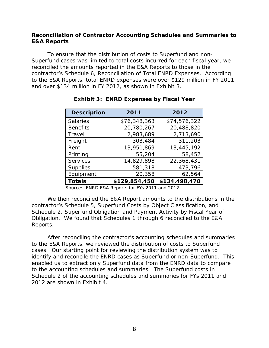## <span id="page-11-0"></span>**Reconciliation of Contractor Accounting Schedules and Summaries to E&A Reports**

 to the E&A Reports, total ENRD expenses were over \$129 million in FY 2011 and over \$134 million in FY 2012, as shown in Exhibit 3. To ensure that the distribution of costs to Superfund and non-Superfund cases was limited to total costs incurred for each fiscal year, we reconciled the amounts reported in the E&A Reports to those in the contractor's Schedule 6, *Reconciliation of Total ENRD Expenses*. According

| <b>Exhibit 3: ENRD Expenses by Fiscal Year</b> |               |               |  |  |  |
|------------------------------------------------|---------------|---------------|--|--|--|
| <b>Description</b>                             | 2011          | 2012          |  |  |  |
| <b>Salaries</b>                                | \$76,348,363  | \$74,576,322  |  |  |  |
| <b>Benefits</b>                                | 20,780,267    | 20,488,820    |  |  |  |
| Travel                                         | 2,983,689     | 2,713,690     |  |  |  |
| Freight                                        | 303,484       | 311,203       |  |  |  |
| Rent                                           | 13,951,869    | 13,445,192    |  |  |  |
| Printing                                       | 55,204        | 58,452        |  |  |  |
| <b>Services</b>                                | 14,829,898    | 22,368,431    |  |  |  |
| <b>Supplies</b>                                | 581,318       | 473,796       |  |  |  |
| Equipment                                      | 20,358        | 62,564        |  |  |  |
| <b>Totals</b>                                  | \$129,854,450 | \$134,498,470 |  |  |  |

Source: ENRD E&A Reports for FYs 2011 and 2012

 *Obligation*. We found that Schedules 1 through 6 reconciled to the E&A We then reconciled the E&A Report amounts to the distributions in the contractor's Schedule 5, *Superfund Costs by Object Classification*, and Schedule 2, *Superfund Obligation and Payment Activity by Fiscal Year of*  Reports.

 to the accounting schedules and summaries. The Superfund costs in Schedule 2 of the accounting schedules and summaries for FYs 2011 and 2012 are shown in Exhibit 4. After reconciling the contractor's accounting schedules and summaries to the E&A Reports, we reviewed the distribution of costs to Superfund cases. Our starting point for reviewing the distribution system was to identify and reconcile the ENRD cases as Superfund or non-Superfund. This enabled us to extract only Superfund data from the ENRD data to compare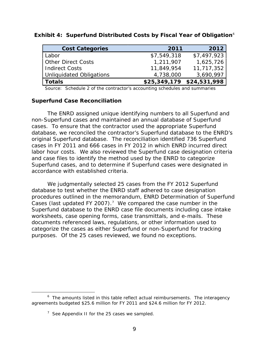| <b>Cost Categories</b>    | 2011        | 2012                      |
|---------------------------|-------------|---------------------------|
| Labor                     | \$7,549,318 | \$7,497,923               |
| <b>Other Direct Costs</b> | 1,211,907   | 1,625,726                 |
| <b>Indirect Costs</b>     | 11,849,954  | 11,717,352                |
| Unliquidated Obligations  | 4,738,000   | 3,690,997                 |
| <b>Totals</b>             |             | \$25,349,179 \$24,531,998 |

#### **Exhibit 4: Superfund Distributed Costs by Fiscal Year of Obligation**<sup>[6](#page-12-1)</sup>

Source: Schedule 2 of the contractor's accounting schedules and summaries

### <span id="page-12-0"></span>**Superfund Case Reconciliation**

 original Superfund database. The reconciliation identified 736 Superfund cases in FY 2011 and 666 cases in FY 2012 in which ENRD incurred direct The ENRD assigned unique identifying numbers to all Superfund and non-Superfund cases and maintained an annual database of Superfund cases. To ensure that the contractor used the appropriate Superfund database, we reconciled the contractor's Superfund database to the ENRD's labor hour costs. We also reviewed the Superfund case designation criteria and case files to identify the method used by the ENRD to categorize Superfund cases, and to determine if Superfund cases were designated in accordance with established criteria.

 We judgmentally selected 25 cases from the FY 2012 Superfund *Cases (last updated FY 2007)*.[7](#page-12-2) We compared the case number in the purposes. Of the 25 cases reviewed, we found no exceptions. database to test whether the ENRD staff adhered to case designation procedures outlined in the memorandum, *ENRD Determination of Superfund*  Superfund database to the ENRD case file documents including case intake worksheets, case opening forms, case transmittals, and e-mails. These documents referenced laws, regulations, or other information used to categorize the cases as either Superfund or non-Superfund for tracking

<span id="page-12-2"></span><span id="page-12-1"></span> $\overline{a}$  $6$  The amounts listed in this table reflect actual reimbursements. The interagency agreements budgeted \$25.6 million for FY 2011 and \$24.6 million for FY 2012.

 $7$  See Appendix II for the 25 cases we sampled.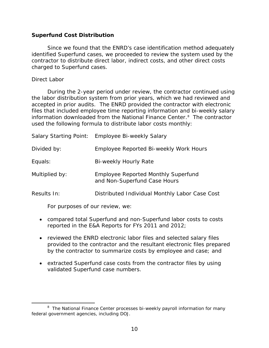### <span id="page-13-0"></span>**Superfund Cost Distribution**

 Since we found that the ENRD's case identification method adequately identified Superfund cases, we proceeded to review the system used by the contractor to distribute direct labor, indirect costs, and other direct costs charged to Superfund cases.

### *Direct Labor*

 During the 2-year period under review, the contractor continued using accepted in prior audits. The ENRD provided the contractor with electronic information downloaded from the National Finance Center.<sup>[8](#page-13-1)</sup> The contractor the labor distribution system from prior years, which we had reviewed and files that included employee time reporting information and bi-weekly salary used the following formula to distribute labor costs monthly:

|                | Salary Starting Point: Employee Bi-weekly Salary                           |
|----------------|----------------------------------------------------------------------------|
| Divided by:    | Employee Reported Bi-weekly Work Hours                                     |
| Equals:        | Bi-weekly Hourly Rate                                                      |
| Multiplied by: | <b>Employee Reported Monthly Superfund</b><br>and Non-Superfund Case Hours |
| Results In:    | Distributed Individual Monthly Labor Case Cost                             |

For purposes of our review, we:

- reported in the E&A Reports for FYs 2011 and 2012; • compared total Superfund and non-Superfund labor costs to costs
- by the contractor to summarize costs by employee and case; and • reviewed the ENRD electronic labor files and selected salary files provided to the contractor and the resultant electronic files prepared
- extracted Superfund case costs from the contractor files by using validated Superfund case numbers.

<span id="page-13-1"></span><sup>-</sup><sup>8</sup> The National Finance Center processes bi-weekly payroll information for many federal government agencies, including DOJ.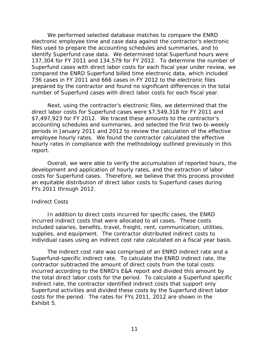137,304 for FY 2011 and 134,579 for FY 2012. To determine the number of compared the ENRD Superfund billed time electronic data, which included 736 cases in FY 2011 and 666 cases in FY 2012 to the electronic files We performed selected database matches to compare the ENRD electronic employee time and case data against the contractor's electronic files used to prepare the accounting schedules and summaries, and to identify Superfund case data. We determined total Superfund hours were Superfund cases with direct labor costs for each fiscal year under review, we prepared by the contractor and found no significant differences in the total number of Superfund cases with direct labor costs for each fiscal year.

 direct labor costs for Superfund cases were \$7,549,318 for FY 2011 and \$7,497,923 for FY 2012. We traced these amounts to the contractor's periods in January 2011 and 2012 to review the calculation of the effective employee hourly rates. We found the contractor calculated the effective hourly rates in compliance with the methodology outlined previously in this Next, using the contractor's electronic files, we determined that the accounting schedules and summaries, and selected the first two bi-weekly report.

 development and application of hourly rates, and the extraction of labor FYs 2011 through 2012. Overall, we were able to verify the accumulation of reported hours, the costs for Superfund cases. Therefore, we believe that this process provided an equitable distribution of direct labor costs to Superfund cases during

#### *Indirect Costs*

 incurred indirect costs that were allocated to all cases. These costs supplies, and equipment. The contractor distributed indirect costs to In addition to direct costs incurred for specific cases, the ENRD included salaries, benefits, travel, freight, rent, communication, utilities,

 individual cases using an indirect cost rate calculated on a fiscal year basis. The indirect cost rate was comprised of an ENRD indirect rate and a costs for the period. The rates for FYs 2011, 2012 are shown in the Exhibit 5. Superfund-specific indirect rate. To calculate the ENRD indirect rate, the contractor subtracted the amount of direct costs from the total costs incurred according to the ENRD's E&A report and divided this amount by the total direct labor costs for the period. To calculate a Superfund specific indirect rate, the contractor identified indirect costs that support only Superfund activities and divided these costs by the Superfund direct labor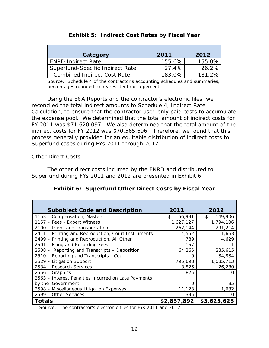| <b>Exhibit 5: Indirect Cost Rates by Fiscal Year</b> |        |        |  |  |
|------------------------------------------------------|--------|--------|--|--|
| Category                                             | 2011   | 2012   |  |  |
| <b>ENRD Indirect Rate</b>                            | 155.6% | 155.0% |  |  |
| Superfund-Specific Indirect Rate                     | 27.4%  | 26.2%  |  |  |
| <b>Combined Indirect Cost Rate</b>                   | 183.0% | 181.2% |  |  |

 Source: Schedule 4 of the contractor's accounting schedules and summaries, percentages rounded to nearest tenth of a percent

 FY 2011 was \$71,620,097. We also determined that the total amount of the indirect costs for FY 2012 was \$70,565,696. Therefore, we found that this process generally provided for an equitable distribution of indirect costs to Superfund cases during FYs 2011 through 2012. Using the E&A Reports and the contractor's electronic files, we reconciled the total indirect amounts to Schedule 4, *Indirect Rate Calculation,* to ensure that the contractor used only paid costs to accumulate the expense pool. We determined that the total amount of indirect costs for

## *Other Direct Costs*

 Superfund during FYs 2011 and 2012 are presented in Exhibit 6. The other direct costs incurred by the ENRD and distributed to

| <b>Exhibit 6: Superfund Other Direct Costs by Fiscal Year</b> |              |               |  |  |  |
|---------------------------------------------------------------|--------------|---------------|--|--|--|
| <b>Subobject Code and Description</b>                         | 2011         | 2012          |  |  |  |
| 1153 - Compensation, Masters                                  | \$<br>66,991 | \$<br>149,906 |  |  |  |
| 1157 - Fees - Expert Witness                                  | 1,627,127    | 1,794,106     |  |  |  |
| 2100 - Travel and Transportation                              | 262,144      | 291,214       |  |  |  |
| 2411 - Printing and Reproduction, Court Instruments           | 4,552        | 1,663         |  |  |  |
| 2499 – Printing and Reproduction, All Other                   | 789          | 4,629         |  |  |  |
| 2501 – Filing and Recording Fees                              | 157          |               |  |  |  |
| 2508 - Reporting and Transcripts - Deposition                 | 64,265       | 235,615       |  |  |  |
| 2510 - Reporting and Transcripts - Court                      | O            | 34,834        |  |  |  |
| 2529 - Litigation Support                                     | 795,698      | 1,085,713     |  |  |  |
| 2534 - Research Services                                      | 3,826        | 26,280        |  |  |  |
| $2556 -$ Graphics                                             | 825          |               |  |  |  |
| 2563 - Interest Penalties Incurred on Late Payments           |              |               |  |  |  |
| by the Government                                             | Ω            | 35            |  |  |  |
| 2598 - Miscellaneous Litigation Expenses                      | 11,123       | 1,632         |  |  |  |
| 2599 - Other Services                                         | 395          |               |  |  |  |
| <b>Totals</b>                                                 | \$2,837,892  | \$3,625,628   |  |  |  |

Source: The contractor's electronic files for FYs 2011 and 2012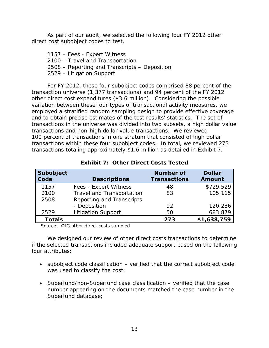As part of our audit, we selected the following four FY 2012 other direct cost subobject codes to test.

 1157 – Fees - Expert Witness 2508 – Reporting and Transcripts – Deposition 2529 – Litigation Support 2100 – Travel and Transportation

 transaction universe (1,377 transactions) and 94 percent of the FY 2012 transactions and non-high dollar value transactions. We reviewed transactions totaling approximately \$1.6 million as detailed in Exhibit 7. For FY 2012, these four subobject codes comprised 88 percent of the other direct cost expenditures (\$3.6 million). Considering the possible variation between these four types of transactional activity measures, we employed a stratified random sampling design to provide effective coverage and to obtain precise estimates of the test results' statistics. The set of transactions in the universe was divided into two subsets, a high dollar value 100 percent of transactions in one stratum that consisted of high dollar transactions within these four subobject codes. In total, we reviewed 273

| Subobject<br>Code | <b>Descriptions</b>              | <b>Number of</b><br><b>Transactions</b> | <b>Dollar</b><br><b>Amount</b> |
|-------------------|----------------------------------|-----------------------------------------|--------------------------------|
| 1157              | Fees - Expert Witness            | 48                                      | \$729,529                      |
| 2100              | <b>Travel and Transportation</b> | 83                                      | 105,115                        |
| 2508              | Reporting and Transcripts        |                                         |                                |
|                   | - Deposition                     | 92                                      | 120,236                        |
| 2529              | <b>Litigation Support</b>        | 50                                      | 683,879                        |
| <b>Totals</b>     |                                  | 273                                     | \$1,638,759                    |

 **Exhibit 7: Other Direct Costs Tested** 

Source: OIG other direct costs sampled

We designed our review of other direct costs transactions to determine if the selected transactions included adequate support based on the following four attributes:

- subobject code classification verified that the correct subobject code was used to classify the cost;
- Superfund/non-Superfund case classification verified that the case number appearing on the documents matched the case number in the Superfund database;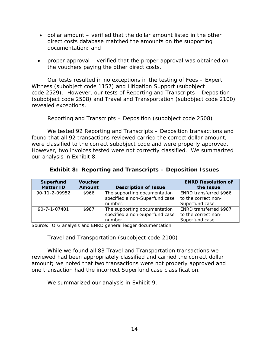- dollar amount verified that the dollar amount listed in the other direct costs database matched the amounts on the supporting documentation; and
- proper approval verified that the proper approval was obtained on the vouchers paying the other direct costs.

 code 2529). However, our tests of Reporting and Transcripts – Deposition (subobject code 2508) and Travel and Transportation (subobject code 2100) Our tests resulted in no exceptions in the testing of Fees – Expert Witness (subobject code 1157) and Litigation Support (subobject revealed exceptions.

## Reporting and Transcripts - Deposition (subobject code 2508)

were classified to the correct subobject code and were properly approved. were classified to the correct subobject code and were properly approved.<br>However, two invoices tested were not correctly classified. We summarized our analysis in Exhibit 8. We tested 92 Reporting and Transcripts – Deposition transactions and found that all 92 transactions reviewed carried the correct dollar amount,

| <b>Exhibit 8: Reporting and Transcripts - Deposition Issues</b> |  |  |
|-----------------------------------------------------------------|--|--|
|                                                                 |  |  |

| <b>Exhibit 8: Reporting and Transcripts - Deposition Issues</b> |                |                                |                           |  |  |
|-----------------------------------------------------------------|----------------|--------------------------------|---------------------------|--|--|
| <b>Superfund</b>                                                | <b>Voucher</b> |                                | <b>ENRD Resolution of</b> |  |  |
| <b>Matter ID</b>                                                | <b>Amount</b>  | <b>Description of Issue</b>    | the Issue                 |  |  |
| 90-11-2-09952                                                   | \$966          | The supporting documentation   | ENRD transferred \$966    |  |  |
|                                                                 |                | specified a non-Superfund case | to the correct non-       |  |  |
|                                                                 |                | number.                        | Superfund case.           |  |  |
| 90-7-1-07401                                                    | \$987          | The supporting documentation   | ENRD transferred \$987    |  |  |
|                                                                 |                | specified a non-Superfund case | to the correct non-       |  |  |
|                                                                 |                | number.                        | Superfund case.           |  |  |

Source: OIG analysis and ENRD general ledger documentation

## Travel and Transportation (subobject code 2100)

 amount; we noted that two transactions were not properly approved and one transaction had the incorrect Superfund case classification. We summarized our analysis in Exhibit 9. While we found all 83 Travel and Transportation transactions we reviewed had been appropriately classified and carried the correct dollar

We summarized our analysis in Exhibit 9.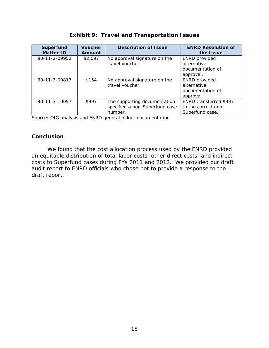| <b>Superfund</b><br><b>Matter ID</b> | <b>Voucher</b><br>Amount | <b>Description of Issue</b>                                               | <b>ENRD Resolution of</b><br>the Issue                               |
|--------------------------------------|--------------------------|---------------------------------------------------------------------------|----------------------------------------------------------------------|
| 90-11-2-09952                        | \$2,097                  | No approval signature on the<br>travel voucher.                           | <b>ENRD</b> provided<br>alternative<br>documentation of<br>approval. |
| 90-11-3-09813                        | \$154                    | No approval signature on the<br>travel voucher.                           | <b>ENRD</b> provided<br>alternative<br>documentation of<br>approval. |
| 90-11-3-10097                        | \$997                    | The supporting documentation<br>specified a non-Superfund case<br>number. | ENRD transferred \$997<br>to the correct non-<br>Superfund case.     |

<span id="page-18-0"></span>Source: OIG analysis and ENRD general ledger documentation

## **Conclusion**

 We found that the cost allocation process used by the ENRD provided costs to Superfund cases during FYs 2011 and 2012. We provided our draft an equitable distribution of total labor costs, other direct costs, and indirect audit report to ENRD officials who chose not to provide a response to the draft report.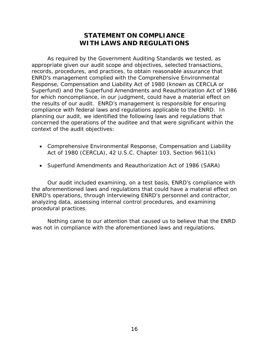## **STATEMENT ON COMPLIANCE WITH LAWS AND REGULATIONS**

<span id="page-19-0"></span> As required by the *Government Auditing Standards* we tested, as concerned the operations of the auditee and that were significant within the appropriate given our audit scope and objectives, selected transactions, records, procedures, and practices, to obtain reasonable assurance that ENRD's management complied with the Comprehensive Environmental Response, Compensation and Liability Act of 1980 (known as CERCLA or Superfund) and the Superfund Amendments and Reauthorization Act of 1986 for which noncompliance, in our judgment, could have a material effect on the results of our audit. ENRD's management is responsible for ensuring compliance with federal laws and regulations applicable to the ENRD. In planning our audit, we identified the following laws and regulations that context of the audit objectives:

- Comprehensive Environmental Response, Compensation and Liability Act of 1980 (CERCLA), 42 U.S.C. Chapter 103, Section 9611(k)
- Superfund Amendments and Reauthorization Act of 1986 (SARA)

 • Superfund Amendments and Reauthorization Act of 1986 (SARA) Our audit included examining, on a test basis, ENRD's compliance with ENRD's operations, through interviewing ENRD's personnel and contractor, the aforementioned laws and regulations that could have a material effect on analyzing data, assessing internal control procedures, and examining procedural practices.

Nothing came to our attention that caused us to believe that the ENRD was not in compliance with the aforementioned laws and regulations.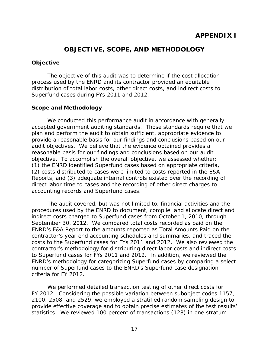## **OBJECTIVE, SCOPE, AND METHODOLOGY**

## <span id="page-20-0"></span>**Objective**

 Superfund cases during FYs 2011 and 2012. The objective of this audit was to determine if the cost allocation process used by the ENRD and its contractor provided an equitable distribution of total labor costs, other direct costs, and indirect costs to

## **Scope and Methodology**

 reasonable basis for our findings and conclusions based on our audit objective. To accomplish the overall objective, we assessed whether: We conducted this performance audit in accordance with generally accepted government auditing standards. Those standards require that we plan and perform the audit to obtain sufficient, appropriate evidence to provide a reasonable basis for our findings and conclusions based on our audit objectives. We believe that the evidence obtained provides a (1) the ENRD identified Superfund cases based on appropriate criteria, (2) costs distributed to cases were limited to costs reported in the E&A Reports, and (3) adequate internal controls existed over the recording of direct labor time to cases and the recording of other direct charges to accounting records and Superfund cases.

 indirect costs charged to Superfund cases from October 1, 2010, through September 30, 2012. We compared total costs recorded as paid on the ENRD's E&A Report to the amounts reported as Total Amounts Paid on the costs to the Superfund cases for FYs 2011 and 2012. We also reviewed the to Superfund cases for FYs 2011 and 2012. In addition, we reviewed the criteria for FY 2012. The audit covered, but was not limited to, financial activities and the procedures used by the ENRD to document, compile, and allocate direct and contractor's year end accounting schedules and summaries, and traced the contractor's methodology for distributing direct labor costs and indirect costs ENRD's methodology for categorizing Superfund cases by comparing a select number of Superfund cases to the ENRD's Superfund case designation

We performed detailed transaction testing of other direct costs for FY 2012. Considering the possible variation between subobject codes 1157, 2100, 2508, and 2529, we employed a stratified random sampling design to provide effective coverage and to obtain precise estimates of the test results' statistics. We reviewed 100 percent of transactions (128) in one stratum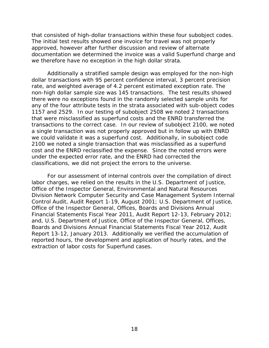that consisted of high-dollar transactions within these four subobject codes. we therefore have no exception in the high dollar strata. The initial test results showed one invoice for travel was not properly approved, however after further discussion and review of alternate documentation we determined the invoice was a valid Superfund charge and

 any of the four attribute tests in the strata associated with sub-object codes transactions to the correct case. In our review of subobject 2100, we noted Additionally a stratified sample design was employed for the non-high dollar transactions with 95 percent confidence interval, 3 percent precision rate, and weighted average of 4.2 percent estimated exception rate. The non-high dollar sample size was 145 transactions. The test results showed there were no exceptions found in the randomly selected sample units for 1157 and 2529. In our testing of subobject 2508 we noted 2 transactions that were misclassified as superfund costs and the ENRD transferred the a single transaction was not properly approved but in follow up with ENRD we could validate it was a superfund cost. Additionally, in subobject code 2100 we noted a single transaction that was misclassified as a superfund cost and the ENRD reclassified the expense. Since the noted errors were under the expected error rate, and the ENRD had corrected the classifications, we did not project the errors to the universe.

 labor charges, we relied on the results in the *U.S. Department of Justice,*  and, *U.S. Department of Justice, Office of the Inspector General, Offices, Report 13-12, January 2013.* Additionally we verified the accumulation of For our assessment of internal controls over the compilation of direct *Office of the Inspector General, Environmental and Natural Resources Division Network Computer Security and Case Management System Internal Control Audit*, Audit Report 1-19, August 2001; *U.S. Department of Justice, Office of the Inspector General, Offices, Boards and Divisions Annual Financial Statements Fiscal Year 2011, Audit Report 12-13, February 2012; Boards and Divisions Annual Financial Statements Fiscal Year 2012, Audit*  reported hours, the development and application of hourly rates, and the extraction of labor costs for Superfund cases.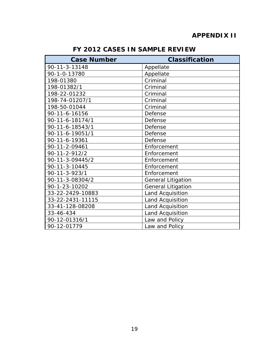## **APPENDIX II**

<span id="page-22-1"></span><span id="page-22-0"></span>

| <b>Case Number</b>    | <b>Classification</b>     |
|-----------------------|---------------------------|
| 90-11-3-13148         | Appellate                 |
| 90-1-0-13780          | Appellate                 |
| 198-01380             | Criminal                  |
| 198-01382/1           | Criminal                  |
| 198-22-01232          | Criminal                  |
| 198-74-01207/1        | Criminal                  |
| 198-50-01044          | Criminal                  |
| 90-11-6-16156         | Defense                   |
| 90-11-6-18174/1       | Defense                   |
| 90-11-6-18543/1       | Defense                   |
| 90-11-6-19051/1       | Defense                   |
| 90-11-6-19361         | Defense                   |
| 90-11-2-09461         | Enforcement               |
| $90 - 11 - 2 - 912/2$ | Enforcement               |
| 90-11-3-09445/2       | Enforcement               |
| 90-11-3-10445         | Enforcement               |
| 90-11-3-923/1         | Enforcement               |
| 90-11-3-08304/2       | <b>General Litigation</b> |
| 90-1-23-10202         | <b>General Litigation</b> |
| 33-22-2429-10883      | <b>Land Acquisition</b>   |
| 33-22-2431-11115      | Land Acquisition          |
| 33-41-128-08208       | Land Acquisition          |
| 33-46-434             | Land Acquisition          |
| 90-12-01316/1         | Law and Policy            |
| 90-12-01779           | Law and Policy            |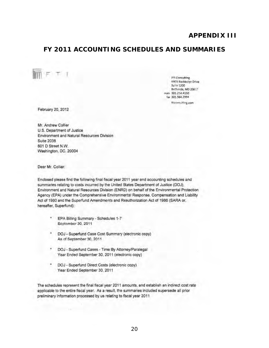## **APPENDIX III**

FTI Consulting 6903 Rockledge Drive **Suite 1200** Bethesda, MD 20817 sin 301.214.4150 fax 301.564.2994 fticonsulting.com

## <span id="page-23-1"></span><span id="page-23-0"></span>FY 2011 ACCOUNTING SCHEDULES AND SUMMARIES

February 20, 2012

 $F$   $T$  1

Mr. Andrew Collier U.S. Department of Justice Environment and Natural Resources Division **Suite 2038** 601 D Street N.W. Washington, DC. 20004

Dear Mr. Collier:

Enclosed please find the following final fiscal year 2011 year end accounting schedules and summaries relating to costs incurred by the United States Department of Justice (DOJ), Environment and Natural Resources Division (ENRD) on behalf of the Environmental Protection Agency (EPA) under the Comprehensive Environmental Response, Compensation and Liability Act of 1980 and the Superfund Amendments and Reauthorization Act of 1986 (SARA or, hereafter, Superfund):

- EPA Billing Summary Schedules 1-7 September 30, 2011
- DOJ Superfund Case Cost Summary (electronic copy) As of September 30, 2011
- DOJ Superfund Cases Time By Attorney/Paralegal Year Ended September 30, 2011 (electronic copy)
- DOJ Superfund Direct Costs (electronic copy) Year Ended September 30, 2011

The schedules represent the final fiscal year 2011 amounts, and establish an indirect cost rate applicable to the entire fiscal year. As a result, the summaries included supersede all prior preliminary information processed by us relating to fiscal year 2011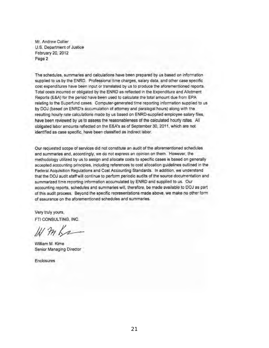Mr. Andrew Collier U.S. Department of Justice February 20, 2012 Page 2

The schedules, summaries and calculations have been prepared by us based on information supplied to us by the ENRD. Professional time charges, salary data, and other case specific cost expenditures have been input or translated by us to produce the aforementioned reports. Total costs incurred or obligated by the ENRD as reflected in the Expenditure and Allotment Reports (E&A) for the period have been used to calculate the total amount due from EPA relating to the Superfund cases. Computer-generated time reporting information supplied to us by DOJ (based on ENRD's accumulation of attorney and paralegal hours) along with the resulting hourly rate calculations made by us based on ENRD-supplied employee salary files, have been reviewed by us to assess the reasonableness of the calculated hourly rates. All obligated labor amounts reflected on the E&A's as of September 30, 2011, which are not identified as case specific, have been classified as indirect labor.

Our requested scope of services did not constitute an audit of the aforementioned schedules and summaries and, accordingly, we do not express an opinion on them. However, the methodology utilized by us to assign and allocate costs to specific cases is based on generally accepted accounting principles, including references to cost allocation guidelines outlined in the Federal Acquisition Regulations and Cost Accounting Standards. In addition, we understand that the DOJ audit staff will continue to perform periodic audits of the source documentation and summarized time reporting information accumulated by ENRD and supplied to us. Our accounting reports, schedules and summaries will, therefore, be made available to DOJ as part of this audit process. Beyond the specific representations made above, we make no other form of assurance on the aforementioned schedules and summaries.

Very truly yours, FTI CONSULTING, INC.

Wmka

William M. Kime Senior Managing Director

Enclosures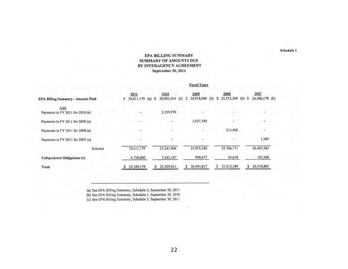#### **EPA BILLING SUMMARY SUMMARY OF AMOUNTS DUE** BY INTERAGENCY AGREEMENT September 30, 2011

#### **Fiscal Years**

| <b>EPA Billing Summary - Amount Paid</b> | 2011<br>20,611,179<br>$(a)$ \$<br>s | 2010<br>20,903,934<br>(b) | 2009<br>24,918,000 (b)<br>S. | 2008<br>25,553,369 (b) \$<br>S. | 2007<br>26,406,178 (b) |
|------------------------------------------|-------------------------------------|---------------------------|------------------------------|---------------------------------|------------------------|
| Add:<br>Payments in FY 2011 for 2010 (a) | ٠                                   | 2,339,970                 |                              |                                 |                        |
| Payments in FY 2011 for 2009 (a)         | $\overline{a}$                      |                           | 1,037,340                    | ۰                               | ۰                      |
| Payments in FY 2011 for 2008 (a)         | ч.,                                 | ×                         | ÷                            | 213,402                         |                        |
| Payments in FY 2011 for 2007 (a)         |                                     |                           |                              |                                 | 1,385                  |
| Subtotal                                 | 20,611,179                          | 23,243,904                | 25,955,340                   | 25,766,771                      | 26,407,563             |
| Unliquidated Obligations (c)             | 4,738,000                           | 2,265,107                 | 990,477                      | 45,618                          | 103,240                |
| Total                                    | 25,349,179                          | 25,509,011<br>s.          | 26,945,817<br>s              | 25,812,389                      | 26,510,803<br>s        |

(a) See EPA Billing Summary, Schedule 2, September 30, 2011<br>(b) See EPA Billing Summary, Schedule 1, September 30, 2010<br>(c) See EPA Billing Summary, Schedule 3, September 30, 2011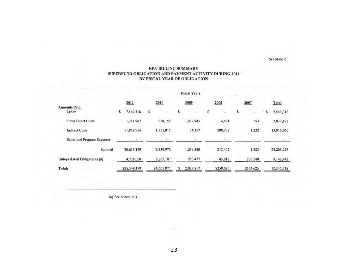#### EPA BILLING SUMMARY SUPERFUND OBLIGATION AND PAYMENT ACTIVITY DURING 2011 BY FISCAL YEAR OF OBLIGATION

**Fiscal Years** 

|                                   | 2011           | 2010        | 2009      | 2008      | 2007      | Total          |
|-----------------------------------|----------------|-------------|-----------|-----------|-----------|----------------|
| <b>Amounts Paid:</b><br>Labor     | 7,549,318<br>s | s           | ۳         | s<br>÷    |           | 7,549,318<br>s |
| <b>Other Direct Costs</b>         | 1,211,907      | 618,155     | 1,002,983 | 4,694     | 153       | 2,837,892      |
| <b>Indirect Costs</b>             | 11.849.954     | 1.721.815   | 34,357    | 208,708   | 1.232     | 13,816,066     |
| <b>Superfund Program Expenses</b> |                |             |           |           |           |                |
| Subtotal                          | 20,611,179     | 2,339,970   | 1,037,340 | 213,402   | 1,385     | 24, 203, 276   |
| Unliquidated Obligations (a)      | 4,738,000      | 2,265,107   | 990,477   | 45,618    | 103.240   | 8,142,442      |
| Totals                            | \$25,349,179   | \$4,605,077 | 2,027,817 | \$259,020 | \$104,625 | 32.345.718     |

(a) See Schedule 3

23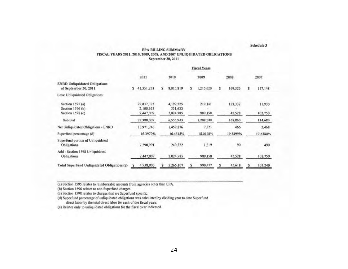#### **EPA BILLING SUMMARY** FISCAL YEARS 2011, 2010, 2009, 2008, AND 2007 UNLIQUIDATED OBLIGATIONS September 30, 2011

Schedule 3

|                                                               | <b>Fiscal Years</b> |                                      |   |                                   |   |                    |   |                   |   |                   |  |
|---------------------------------------------------------------|---------------------|--------------------------------------|---|-----------------------------------|---|--------------------|---|-------------------|---|-------------------|--|
|                                                               |                     | 2011                                 |   | 2010                              |   | 2009               |   | 2008              |   | 2007              |  |
| <b>ENRD Unliquidated Obligations</b><br>at September 30, 2011 | s                   | 41,351,253                           | s | 8,015,819                         | s | 1,215,620          | s | 169,326           | s | 117,148           |  |
| Less: Unliquidated Obligations:                               |                     |                                      |   |                                   |   |                    |   |                   |   |                   |  |
| Section 1595 (a)<br>Section 1596 (b)<br>Section $1598(c)$     |                     | 22,832,323<br>2,100,675<br>2,447,009 |   | 4,199,525<br>331,633<br>2,024,785 |   | 219,141<br>989,158 |   | 123,332<br>45,528 |   | 11,930<br>102,750 |  |
| Subtotal                                                      |                     | 27,380,007                           |   | 6,555,943                         |   | 1,208,299          |   | 168,860           |   | 114,680           |  |
| Net Unliquidated Obligations - ENRD                           |                     | 13,971,246                           |   | 1,459,876                         |   | 7,321              |   | 466               |   | 2,468             |  |
| Superfund percentage (d)                                      |                     | 16.3979%                             |   | 16.4618%                          |   | 18.0148%           |   | 19.3499%          |   | 19.8380%          |  |
| Superfund portion of Unliquidated<br>Obligations              |                     | 2,290,991                            |   | 240,322                           |   | 1,319              |   | 90                |   | 490               |  |
| Add - Section 1598 Unliquidated<br>Obligations                |                     | 2,447,009                            |   | 2,024,785                         |   | 989,158            |   | 45,528            |   | 102,750           |  |
| Total Superfund Unliquidated Obligations (e)                  | s                   | 4,738,000                            | s | 2,265,107                         | s | 990,477            | s | 45,618            | S | 103,240           |  |

(a) Section 1595 relates to reimbursable amounts from agencies other than EPA.

(b) Section 1596 relates to non-Superfund charges.

(c) Section 1598 relates to charges that are Superfund specific.

(d) Superfund percentage of unliquidated obligations was calculated by dividing year to date Superfund direct labor by the total direct labor for each of the fiscal years.

(e) Relates only to unliquidated obligations for the fiscal year indicated.

24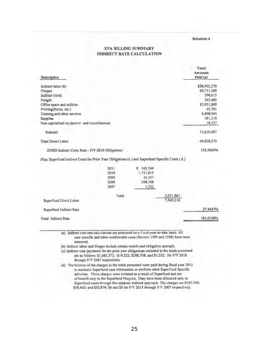#### EPA BILLING SUMMARY INDIRECT RATE CALCULATION

|       |                                                                                                |           | Total<br>Amounts                                                                                |
|-------|------------------------------------------------------------------------------------------------|-----------|-------------------------------------------------------------------------------------------------|
|       |                                                                                                |           | Paid (a)                                                                                        |
|       |                                                                                                |           | \$28,902,270                                                                                    |
|       |                                                                                                |           | 20,711,369                                                                                      |
|       |                                                                                                |           | 296,613                                                                                         |
|       |                                                                                                |           | 303,485                                                                                         |
|       |                                                                                                |           | 13,951,869                                                                                      |
|       |                                                                                                |           | 45,701                                                                                          |
|       |                                                                                                |           | 6,808,945                                                                                       |
|       |                                                                                                |           | 581,318                                                                                         |
|       |                                                                                                |           | 18,527                                                                                          |
|       |                                                                                                |           | 71,620,097                                                                                      |
|       |                                                                                                |           | 46,038,270                                                                                      |
|       |                                                                                                |           | 155.5664%                                                                                       |
|       |                                                                                                |           |                                                                                                 |
| 2011  | \$105,749                                                                                      |           |                                                                                                 |
| 2010  | 1,721.815                                                                                      |           |                                                                                                 |
| 2009  | 34,357                                                                                         |           |                                                                                                 |
| 2008  | 208,708                                                                                        |           |                                                                                                 |
| 2007  | 1,232                                                                                          |           |                                                                                                 |
| Total |                                                                                                | 2,071,861 |                                                                                                 |
|       |                                                                                                | 7,549,318 |                                                                                                 |
|       |                                                                                                |           | 27.4443%                                                                                        |
|       |                                                                                                |           | 183.0108%                                                                                       |
|       | Non-capitalized equipment and miscellaneous<br>ENRD Indirect Costs Rate - F/Y 2010 Obligations |           | Plus: Superfund Indirect Costs for Prior Year Obligations (c ) and Superfund Specific Costs (d) |

removed.

(b) Indirect labor and fringes include certain month-end obligation accruals.

(c) Indirect cost payments for the prior year obligations included in the totals presented are as follows; \$1,663,373; -\$19,522; \$208,708; and \$1,232; for F/Y 2010 through F/Y 2007 respectively.

(d) The balance of the charges in the totals presented were paid during fiscal year 2011 to maintain Superfund case information or perform other Superfund Specific activities. These charges were initiated as a result of Superfund and are of benefit only to the Superfund Program. They have been allocated only to Superfund cases through this separate indirect approach. The charges are \$105,749; \$58,442; and \$53,879; \$0 and \$0 for F/Y 2011 through F/Y 2007 respectively.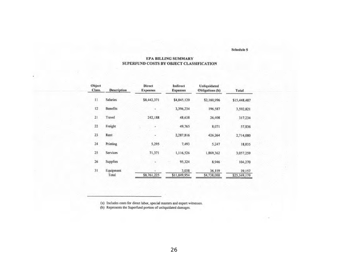#### EPA BILLING SUMMARY SUPERFUND COSTS BY OBJECT CLASSIFICATION

| Object<br>Class. | <b>Description</b> | <b>Direct</b><br><b>Expenses</b> | Indirect<br><b>Expenses</b> | Unliquidated<br>Obligations (b) | Total                  |
|------------------|--------------------|----------------------------------|-----------------------------|---------------------------------|------------------------|
| 11               | <b>Salaries</b>    | \$8,442,371                      | \$4,845,120                 | \$2,160,996                     | \$15,448,487           |
| 12               | Benefits           |                                  | 3,396,234                   | 196,587                         | 3,592,821              |
| 21               | Travel             | 242,188                          | 48,638                      | 26,408                          | 317,234                |
| 22               | Freight            |                                  | 49,765                      | 8,071                           | 57,836                 |
| 23               | Rent               |                                  | 2,287,816                   | 426,264                         | 2,714,080              |
| 24               | Printing           | 5.295                            | 7.493                       | 5,247                           | 18,035                 |
| 25               | Services           | 71,371                           | 1,116,526                   | 1,869,362                       | 3,057,259              |
| 26               | Supplies           |                                  | 95,324                      | 8,946                           | 104,270                |
| 31               | Equipment<br>Total | \$8,761,225                      | 3,038<br>\$11,849,954       | 36,119<br>\$4,738,000           | 39,157<br>\$25,349,179 |

(a) Includes costs for direct labor, special masters and expert witnesses.<br>(b) Represents the Superfund portion of unliquidated damages.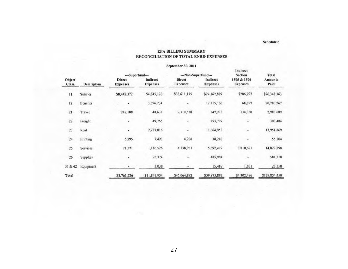#### September 30, 2011 Indirect -Superfund---Non-Superfund---Section Total Object Indirect Indirect 1595 & 1596 **Direct Direct Amounts** Class. Description **Expenses Expenses Expenses Expenses** Paid **Expenses** Salaries \$8,442,372 \$38,611,175 \$286,797 \$76,348,363  $11$ \$4,845,120 \$24,162,899 3,396,234 17,315,136 Benefits 68,897  $12$ ÷.  $\star$ 20,780,267 48,638 2,310,538 247,975 134,350 2,983,689  $21$ Travel 242,188 49,765 253,719  $22$ Freight  $\omega$ 303,484  $\omega$  $\omega$  $23$ Rent 2,287,816 11,664,053 13,951,869  $\overline{\phantom{a}}$  $\omega$  $\overline{\phantom{a}}$ 4,208  $24\,$ 5,295 7,493 38,208 55,204 Printing ٠ 25 Services 71,371 1,116,526 4,138,961 5,692,419 3,810,621 14,829,898 95,324  $26$ Supplies 485,994 581,318  $\bullet$  $\overline{\phantom{a}}$  $\ddot{\phantom{a}}$ 31 & 42 Equipment 3,038 15,489 1,831 20,358 ú. \$45,064,882 \$59,875,892 \$4,302,496 \$129,854,450 \$8,761,226 \$11,849,954 Total

#### **EPA BILLING SUMMARY** RECONCILIATION OF TOTAL ENRD EXPENSES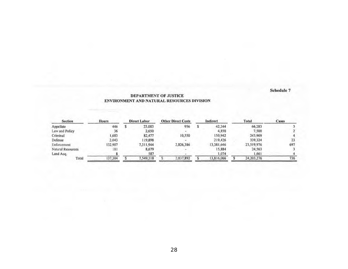#### DEPARTMENT OF JUSTICE ENVIRONMENT AND NATURAL RESOURCES DIVISION

| Section           | <b>Hours</b> | Direct Labor |           |  |           |            |  | <b>Other Direct Costs</b> |     |  |  | Indirect |  | Total | Cases |  |
|-------------------|--------------|--------------|-----------|--|-----------|------------|--|---------------------------|-----|--|--|----------|--|-------|-------|--|
| Appellate         | 446          |              | 23,083    |  | 956       | 42.244     |  | 66,283                    |     |  |  |          |  |       |       |  |
| Law and Policy    | 36           |              | 2,650     |  |           | 4,850      |  | 7.500                     |     |  |  |          |  |       |       |  |
| Criminal          | 1,683        |              | 82,477    |  | 10,550    | 150,942    |  | 243,969                   |     |  |  |          |  |       |       |  |
| Defense           | 2,043        |              | 119,898   |  |           | 219,426    |  | 339,324                   | 23  |  |  |          |  |       |       |  |
| Enforcement       | 132,907      |              | 7.311,944 |  | 2,826,386 | 13,381,646 |  | 23,519,976                | 697 |  |  |          |  |       |       |  |
| Natural Resources | 181          |              | 8,679     |  |           | 15,884     |  | 24.563                    |     |  |  |          |  |       |       |  |
| Land Acq.         |              |              | 587       |  |           | 1,074      |  | 1.661                     |     |  |  |          |  |       |       |  |
| Total             | 137,304      |              | 7.549.318 |  | 2,837,892 | 13,816,066 |  | 24,203,276                | 736 |  |  |          |  |       |       |  |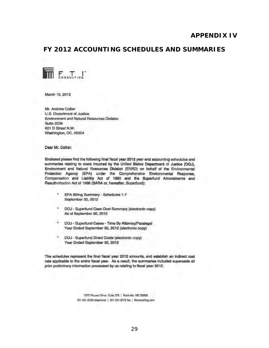## **APPENDIX IV**

## <span id="page-32-1"></span><span id="page-32-0"></span>FY 2012 ACCOUNTING SCHEDULES AND SUMMARIES

![](_page_32_Picture_2.jpeg)

March 15, 2013

Mr. Andrew Collier U.S. Department of Justice Environment and Natural Resources Division **Suite 2038** 601 D Street N.W. Washington, DC. 20004

Dear Mr. Collier:

Enclosed please find the following final fiscal year 2012 year end accounting schedules and summaries relating to costs incurred by the United States Department of Justice (DOJ), Environment and Natural Resources Division (ENRO) on behalf of the Environmental Protection Agency (EPA) under the Comprehensive Environmental Response, Compensation and Llability Act of 1980 and the Superfund Amendments and Reauthorization Act of 1986 (SARA or, hereafter, Superfund):

- EPA Billing Summary Schedules 1-7 September 30, 2012
- DOJ Superfund Case Cost Summary (electronic copy) As of September 30, 2012
- \* DOJ Superfund Cases Time By Attorney/Paralegal Year Ended September 30, 2012 (electronic copy)
- DOJ Superfund Direct Costs (electronic copy) Year Ended September 30, 2012

The schedules represent the final fiscal year 2012 amounts, and establish an indirect cost rate applicable to the entire fiscal year. As a result, the summaries included supersede all prior preliminary information processed by us relating to fiscal year 2012.

> 1375 Piccerd Drive, Suite 375 | Rockville, MD 20850 801.591.8000 telephone | 301.591.8072 fax | fticonsulting.com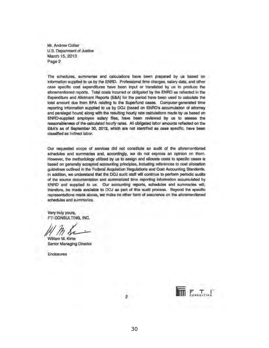Mr. Andrew Collier U.S. Department of Justice March 15, 2013 Page 2

The schedules, summaries and calculations have been prepared by us based on information supplied to us by the ENRD. Professional time charges, salary data, and other case specific cost expenditures have been input or translated by us to produce the aforementioned reports. Total costs incurred or obligated by the ENRD as reflected in the Expenditure and Allotment Reports (E&A) for the period have been used to calculate the total amount due from EPA relating to the Superfund cases. Computer-generated time reporting information supplied to us by DOJ (based on ENRD's accumulation of attorney and paralegal hours) along with the resulting hourly rate calculations made by us based on ENRD-supplied employee salary files, have been reviewed by us to assess the reasonableness of the calculated hourly rates. All obligated labor amounts reflected on the E&A's as of September 30, 2012, which are not identified as case specific, have been classified as indirect labor.

Our requested scope of services did not constitute an audit of the aforementioned schedules and summaries and, accordingly, we do not express an opinion on them. However, the methodology utilized by us to assign and allocate costs to specific cases is based on generally accepted accounting principles, including references to cost allocation guidelines outlined in the Federal Acquisition Regulations and Cost Accounting Standards. In addition, we understand that the DOJ audit staff will continue to perform periodic audits of the source documentation and summarized time reporting information accumulated by ENRD and supplied to us. Our accounting reports, schedules and summaries will, therefore, be made available to DOJ as part of this audit process. Beyond the specific representations made above, we make no other form of assurance on the aforementioned schedules and summaries.

Very truly yours, FTI CONSULTING, INC.

William M. Kime Senior Managing Director

**Enclosures** 

![](_page_33_Picture_7.jpeg)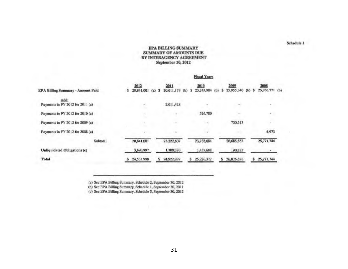#### **EPA BILLING SUMMARY SUMMARY OF AMOUNTS DUE** BY INTERAGENCY AGREEMENT September 30, 2012

#### **Fiscal Years**

| <b>EPA Billing Summary - Amount Paid</b> | 2012<br>20,841,001 | 2011<br>20,611,179 (b)<br>$(a)$ $\bar{s}$ | 2010<br>23,243,904<br>(b) | 2009<br>25,955,340<br>$(b)$ \$ | 2008<br>25,766,771 (b) |  |
|------------------------------------------|--------------------|-------------------------------------------|---------------------------|--------------------------------|------------------------|--|
| Add:<br>Payments in FY 2012 for 2011 (a) | ÷                  | 2,611,428                                 |                           |                                |                        |  |
| Payments in FY 2012 for 2010 (a)         | ٠                  | ۰                                         | 524,780                   |                                | ÷.                     |  |
| Payments in FY 2012 for 2009 (a)         | ٠                  | $\sim$                                    |                           | 730,513                        |                        |  |
| Payments in FY 2012 for 2008 (a)         | ÷                  |                                           |                           |                                | 4,973                  |  |
| <b>Subtotal</b>                          | 20,841,001         | 23,222,607                                | 23,768,684                | 26,685,853                     | 25,771,744             |  |
| Unliquidated Obligations (c)             | 3,690,997          | 1,700,390                                 | 1,457,688                 | 190,823                        |                        |  |
| <b>Total</b>                             | 24,531,998         | 24,922,997                                | 25,226,372<br>s           | 26,876,676<br>\$               | 25,771,744             |  |

(a) See EPA Billing Summary, Schedule 2, September 30, 2012<br>(b) See EPA Billing Summary, Schedule 1, September 30, 2011<br>(c) See EPA Billing Summary, Schedule 3, September 30, 2012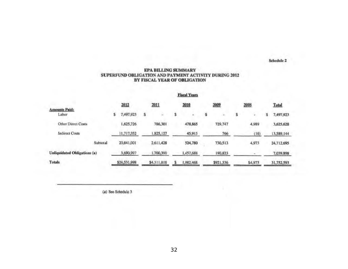#### **EPA BILLING SUMMARY** SUPERFUND OBLIGATION AND PAYMENT ACTIVITY DURING 2012 BY FISCAL YEAR OF OBLIGATION

|                               |      |              |      |             |      | <b>Fiscal Years</b> |      |           |      |         |              |
|-------------------------------|------|--------------|------|-------------|------|---------------------|------|-----------|------|---------|--------------|
|                               | 2012 |              | 2011 |             | 2010 |                     | 2009 |           | 2008 |         | <b>Total</b> |
| <b>Amounts Paid:</b><br>Labor | \$   | 1,497,923    | s    |             |      | ٠                   |      | u.        | s    |         | 7,497,923    |
| Other Direct Costs            |      | 1,625,726    |      | 786,301     |      | 478,865             |      | 729,747   |      | 4,989   | 3,625,628    |
| <b>Indirect Costs</b>         |      | 11,717,352   |      | 1,825,127   |      | 45,915              |      | 766       |      | (16)    | 13,589,144   |
| Subtotal                      |      | 20,841,001   |      | 2,611,428   |      | 524,780             |      | 730,513   |      | 4,973   | 24,712,695   |
| Unliquidated Obligations (a)  |      | 3,690,997    |      | 1,700,390   |      | 1,457,688           |      | 190,823   |      |         | 7,039,898    |
| <b>Totals</b>                 |      | \$24,531,998 |      | \$4,311,818 |      | 1,982,468           |      | \$921,336 |      | \$4,973 | 31,752,593   |

(a) See Schedule 3

32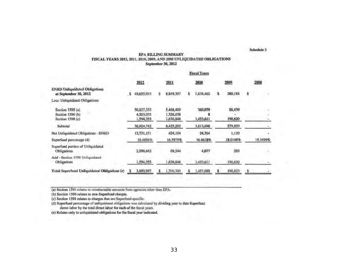#### EPA BILLING SUMMARY FISCAL YEARS 2012, 2011, 2010, 2009, AND 2008 UNLIQUIDATED OBLIGATIONS September 30, 2012

and the sea

|                                                               |                                      |                                     | Fiscal Tears         |                   |          |
|---------------------------------------------------------------|--------------------------------------|-------------------------------------|----------------------|-------------------|----------|
|                                                               | 2012                                 | 2011                                | 2010                 | 2009              | 2008     |
| <b>ENRD Unliquidated Obligations</b><br>at September 30, 2012 | 49,655,893                           | 8,849,397                           | 1,838,462<br>s       | 280,188           |          |
| Less: Unliquidated Obligations:                               |                                      |                                     |                      |                   |          |
| Section $1595(a)$<br>Section 1596 (b)<br>Section 1598 (c)     | 30,827,352<br>4,503,035<br>1,594,355 | 5,468,409<br>1,326,038<br>1,630,846 | 360,079<br>1,453,611 | 88,439<br>190,620 |          |
| Subtotal                                                      | 36,924,742                           | 8,425,293                           | 1,813,698            | 279,059           |          |
| Net Unliquidated Obligations - ENRD                           | 12,731,151                           | 424,104                             | 24,764               | 1,129             |          |
| Superfund percentage (d)                                      | 16.4686%                             | 16.3979%                            | 16.4618%             | 18.0148%          | 19.3499% |
| Superfund portion of Unliquidated<br>Obligations              | 2,096,642                            | 69,544                              | 4,077                | 203               |          |
| Add - Section 1598 Unliquidated<br>Obligations                | .594,355                             | 1,630,846                           | 1,453,611            | 190,620           |          |
| <b>Total Superfund Unliquidated Obligations (e)</b>           | 3,690,997                            | ,700,390                            | 1,457,688            | 190,823           |          |

(a) Section 1595 relates to reimbursable amounts from agencies other than EPA.

(b) Section 1596 relates to non-Superfund charges.

(c) Section 1598 relates to charges that are Superfund specific.

(d) Superfund percentage of unliquidated obligations was calculated by dividing year to date Superfund direct labor by the total direct labor for each of the fiscal years.

(e) Relates only to unliquidated obligations for the fiscal year indicated.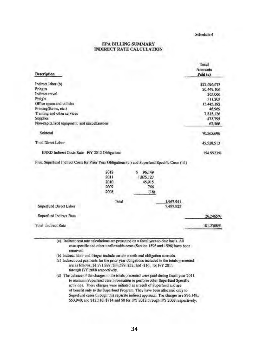#### **EPA BILLING SUMMARY INDIRECT RATE CALCULATION**

| Description                                                                                     |       |              |           | Total<br><b>Amounts</b><br>Paid (a) |
|-------------------------------------------------------------------------------------------------|-------|--------------|-----------|-------------------------------------|
| Indirect labor (b)                                                                              |       |              |           | \$27,696,673                        |
| Fringes                                                                                         |       |              |           | 20,449,106                          |
| Indirect travel                                                                                 |       |              |           | 263,066                             |
| Freight                                                                                         |       |              |           | 311,203                             |
| Office space and utilities                                                                      |       |              |           | 13,445,192                          |
| Printing(forms, etc.)                                                                           |       |              |           | 48,969                              |
| Training and other services                                                                     |       |              |           | 7,815,126                           |
| Supplies                                                                                        |       |              |           | 473,795                             |
| Non-capitalized equipment and miscellaneous                                                     |       |              |           | 62,566                              |
| Subtotal                                                                                        |       |              |           | 70,565,696                          |
| <b>Total Direct Labor</b>                                                                       |       |              |           | 45,528,513                          |
| ENRD Indirect Costs Rate - F/Y 2012 Obligations                                                 |       |              |           | 154.9923%                           |
| Plus: Superfund Indirect Costs for Prior Year Obligations (c ) and Superfund Specific Costs (d) |       |              |           |                                     |
|                                                                                                 | 2012  | 96,149<br>\$ |           |                                     |
|                                                                                                 | 2011  | 1,825,127    |           |                                     |
|                                                                                                 | 2010  | 45,915       |           |                                     |
|                                                                                                 | 2009  | 766          |           |                                     |
|                                                                                                 | 2008  | (16)         |           |                                     |
|                                                                                                 | Total |              | 1,967,941 |                                     |
| Superfund Direct Labor                                                                          |       |              | 7,497,923 |                                     |
| Superfund Indirect Rate                                                                         |       |              |           | 26.2465%                            |
| <b>Total Indirect Rate</b>                                                                      |       |              |           | 181.2388%                           |
|                                                                                                 |       |              |           |                                     |

(a) Indirect cost rate calculations are presented on a fiscal year-to-date basis. All case specific and other unallowable costs (Section 1595 and 1596) have been removed.

(b) Indirect labor and fringes include certain month-end obligation accruals.

(c) Indirect cost payments for the prior year obligations included in the totals presented are as follows; \$1,771,887; \$33,599; \$52; and -\$16; for F/Y 2011 through F/Y 2008 respectively.

(d) The balance of the charges in the totals presented were paid during fiscal year 2011. to maintain Superfund case information or perform other Superfund Specific activities. These charges were initiated as a result of Superfund and are of benefit only to the Superfund Program. They have been allocated only to Superfund cases through this separate indirect approach. The charges are \$96,149; \$53,940; and \$12,316; \$714 and \$0 for F/Y 2012 through F/Y 2008 respectively.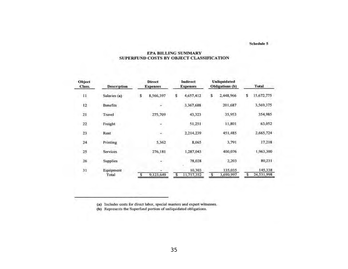#### **EPA BILLING SUMMARY** SUPERFUND COSTS BY OBJECT CLASSIFICATION

| Object<br>Class. | <b>Description</b> |    | <b>Direct</b><br><b>Expenses</b> | Indirect<br><b>Expenses</b> |                      |   | <b>Unliquidated</b><br>Obligations (b) | Total |                       |
|------------------|--------------------|----|----------------------------------|-----------------------------|----------------------|---|----------------------------------------|-------|-----------------------|
| $^{11}$          | Salaries (a)       | s  | 8,566,397                        | s                           | 4,657,412            | s | 2,448,966                              | s     | 15,672,775            |
| 12               | <b>Benefits</b>    |    |                                  |                             | 3,367,688            |   | 201,687                                |       | 3,569,375             |
| $\overline{21}$  | Travel             |    | 275,709                          |                             | 43,323               |   | 35,953                                 |       | 354,985               |
| 22               | Freight            |    |                                  |                             | 51,251               |   | 11,801                                 |       | 63.052                |
| 23               | Rent               |    |                                  |                             | 2.214.239            |   | 451,485                                |       | 2.665.724             |
| 24               | Printing           |    | 5,362                            |                             | 8,065                |   | 3,791                                  |       | 17,218                |
| 25               | <b>Services</b>    |    | 276,181                          |                             | 1,287,043            |   | 400,076                                |       | 1,963,300             |
| 26               | <b>Supplies</b>    |    |                                  |                             | 78,028               |   | 2,203                                  |       | 80,231                |
| 31<br>76         | Equipment<br>Total | \$ | 9,123,649                        | s                           | 10,303<br>11,717,352 | s | 135,035<br>3,690,997                   | \$    | 145,338<br>24,531,998 |

(a) Includes costs for direct labor, special masters and expert witnesses.

(b) Represents the Superfund portion of unliquidated obligations.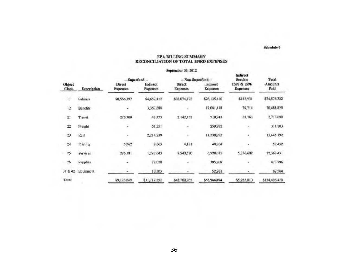#### **EPA BILLING SUMMARY** RECONCILIATION OF TOTAL ENRD EXPENSES

|                         |                    |                                  |                             | September 30, 2012               |                             |                                |                        |
|-------------------------|--------------------|----------------------------------|-----------------------------|----------------------------------|-----------------------------|--------------------------------|------------------------|
|                         |                    | -Superfund---                    |                             | ---Non-Superfund---              |                             | Indirect<br><b>Section</b>     | <b>Total</b>           |
| <b>Object</b><br>Class. | <b>Description</b> | <b>Direct</b><br><b>Expenses</b> | Indirect<br><b>Expenses</b> | <b>Direct</b><br><b>Expenses</b> | Indirect<br><b>Expenses</b> | 1595 & 1596<br><b>Expenses</b> | <b>Amounts</b><br>Paid |
| П                       | Salaries           | \$8,566,397                      | \$4,657,412                 | \$38,074,172                     | \$23,135,410                | \$142,931                      | \$74,576,322           |
| 12                      | <b>Benefits</b>    | ٠                                | 3,367,688                   | ×                                | 17,081,418                  | 39,714                         | 20,488,820             |
| 21                      | Travel             | 275,709                          | 43,323                      | 2,142,152                        | 219,743                     | 32,763                         | 2,713,690              |
| 22                      | Freight            | Ļ                                | 51,251                      | ٠                                | 259,952                     | a,                             | 311,203                |
| 23                      | Rent               | ۰                                | 2,214,239                   | ×                                | 11,230,953                  | ś.                             | 13,445,192             |
| 24                      | Printing           | 5,362                            | 8,065                       | 4,121                            | 40,904                      | <b>Sec</b>                     | 58,452                 |
| 25                      | Services           | 276,181                          | 1,287,043                   | 8,540,520                        | 6,528,085                   | 5,736,602                      | 22,368,431             |
| 26                      | <b>Supplies</b>    | $\overline{a}$                   | 78,028                      |                                  | 395,768                     |                                | 473,796                |
| 31 & 42                 | Equipment          |                                  | 10,303                      |                                  | 52,261                      |                                | 62,564                 |
| Total                   |                    | \$9,123,649                      | \$11,717,352                | \$48,760,965                     | \$58,944,494                | \$5,952,010                    | \$134,498,470          |